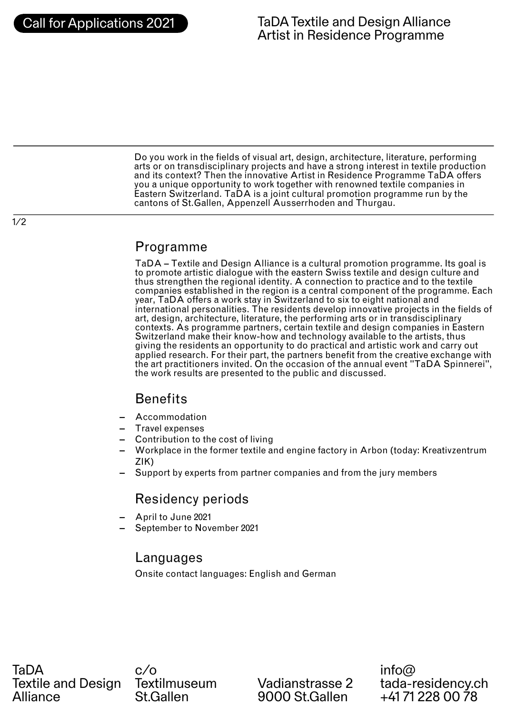1/2

Do you work in the fields of visual art, design, architecture, literature, performing arts or on transdisciplinary projects and have a strong interest in textile production and its context? Then the innovative Artist in Residence Programme TaDA offers you a unique opportunity to work together with renowned textile companies in Eastern Switzerland. TaDA is a joint cultural promotion programme run by the cantons of St.Gallen, Appenzell Ausserrhoden and Thurgau.

### Programme

TaDA – Textile and Design Alliance is a cultural promotion programme. Its goal is to promote artistic dialogue with the eastern Swiss textile and design culture and thus strengthen the regional identity. A connection to practice and to the textile companies established in the region is a central component of the programme. Each year, TaDA offers a work stay in Switzerland to six to eight national and international personalities. The residents develop innovative projects in the fields of art, design, architecture, literature, the performing arts or in transdisciplinary contexts. As programme partners, certain textile and design companies in Eastern Switzerland make their know-how and technology available to the artists, thus giving the residents an opportunity to do practical and artistic work and carry out applied research. For their part, the partners benefit from the creative exchange with the art practitioners invited. On the occasion of the annual event "TaDA Spinnerei", the work results are presented to the public and discussed.

## **Benefits**

- **–** Accommodation
- **–** Travel expenses
- **–** Contribution to the cost of living
- **–** Workplace in the former textile and engine factory in Arbon (today: Kreativzentrum ZIK)
- **–** Support by experts from partner companies and from the jury members

## Residency periods

- **–** April to June 2021
- **–** September to November 2021

### Languages

Onsite contact languages: English and German

TaDA Textile and Design Alliance

c/o **Textilmuseum** St.Gallen

Vadianstrasse 2 9000 St.Gallen

info@ tada-residency.ch +41 71 228 00 78